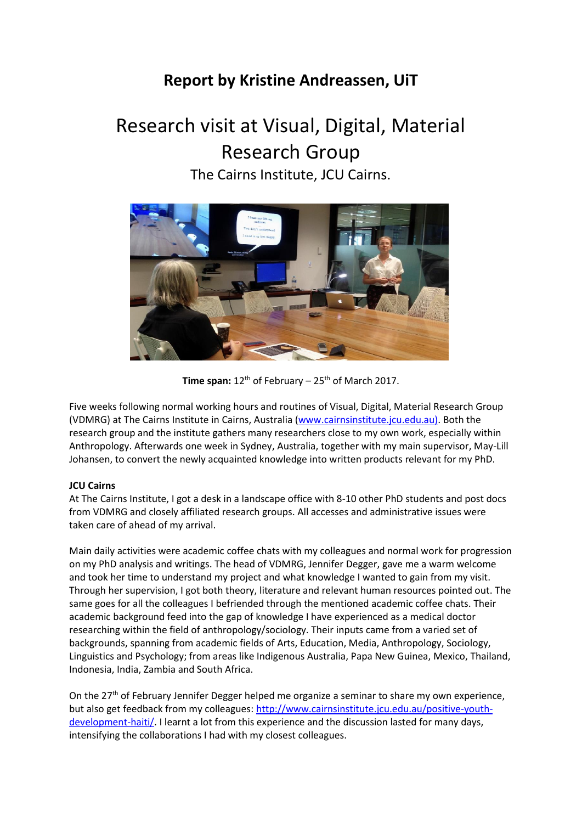# **Report by Kristine Andreassen, UiT**

# Research visit at Visual, Digital, Material Research Group The Cairns Institute, JCU Cairns.



**Time span:**  $12^{th}$  of February –  $25^{th}$  of March 2017.

Five weeks following normal working hours and routines of Visual, Digital, Material Research Group (VDMRG) at The Cairns Institute in Cairns, Australia [\(www.cairnsinstitute.jcu.edu.au\).](http://www.cairnsinstitute.jcu.edu.au)/) Both the research group and the institute gathers many researchers close to my own work, especially within Anthropology. Afterwards one week in Sydney, Australia, together with my main supervisor, May-Lill Johansen, to convert the newly acquainted knowledge into written products relevant for my PhD.

## **JCU Cairns**

At The Cairns Institute, I got a desk in a landscape office with 8-10 other PhD students and post docs from VDMRG and closely affiliated research groups. All accesses and administrative issues were taken care of ahead of my arrival.

Main daily activities were academic coffee chats with my colleagues and normal work for progression on my PhD analysis and writings. The head of VDMRG, Jennifer Degger, gave me a warm welcome and took her time to understand my project and what knowledge I wanted to gain from my visit. Through her supervision, I got both theory, literature and relevant human resources pointed out. The same goes for all the colleagues I befriended through the mentioned academic coffee chats. Their academic background feed into the gap of knowledge I have experienced as a medical doctor researching within the field of anthropology/sociology. Their inputs came from a varied set of backgrounds, spanning from academic fields of Arts, Education, Media, Anthropology, Sociology, Linguistics and Psychology; from areas like Indigenous Australia, Papa New Guinea, Mexico, Thailand, Indonesia, India, Zambia and South Africa.

On the  $27<sup>th</sup>$  of February Jennifer Degger helped me organize a seminar to share my own experience, but also get feedback from my colleagues: [http://www.cairnsinstitute.jcu.edu.au/positive-youth](http://www.cairnsinstitute.jcu.edu.au/positive-youth-development-haiti/)[development-haiti/.](http://www.cairnsinstitute.jcu.edu.au/positive-youth-development-haiti/) I learnt a lot from this experience and the discussion lasted for many days, intensifying the collaborations I had with my closest colleagues.